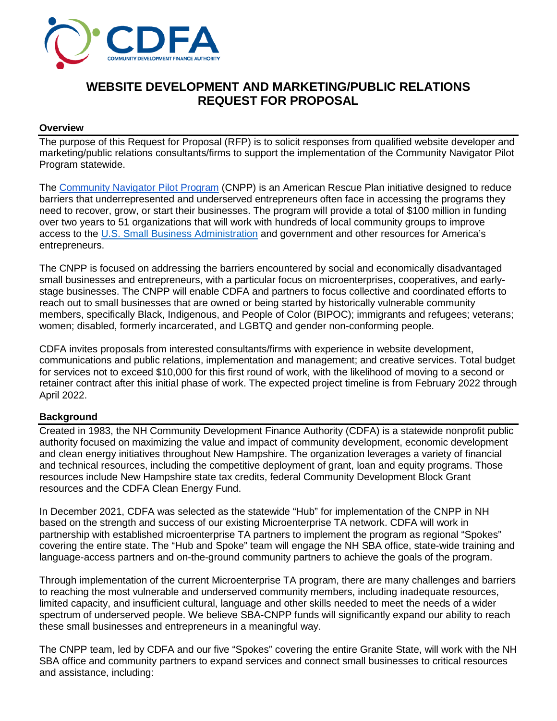

# **WEBSITE DEVELOPMENT AND MARKETING/PUBLIC RELATIONS REQUEST FOR PROPOSAL**

#### **Overview**

The purpose of this Request for Proposal (RFP) is to solicit responses from qualified website developer and marketing/public relations consultants/firms to support the implementation of the Community Navigator Pilot Program statewide.

The [Community Navigator Pilot Program](https://www.sba.gov/local-assistance/community-navigators) (CNPP) is an American Rescue Plan initiative designed to reduce barriers that underrepresented and underserved entrepreneurs often face in accessing the programs they need to recover, grow, or start their businesses. The program will provide a total of \$100 million in funding over two years to 51 organizations that will work with hundreds of local community groups to improve access to the [U.S. Small Business Administration](https://www.sba.gov/) and government and other resources for America's entrepreneurs.

The CNPP is focused on addressing the barriers encountered by social and economically disadvantaged small businesses and entrepreneurs, with a particular focus on microenterprises, cooperatives, and earlystage businesses. The CNPP will enable CDFA and partners to focus collective and coordinated efforts to reach out to small businesses that are owned or being started by historically vulnerable community members, specifically Black, Indigenous, and People of Color (BIPOC); immigrants and refugees; veterans; women; disabled, formerly incarcerated, and LGBTQ and gender non-conforming people.

CDFA invites proposals from interested consultants/firms with experience in website development, communications and public relations, implementation and management; and creative services. Total budget for services not to exceed \$10,000 for this first round of work, with the likelihood of moving to a second or retainer contract after this initial phase of work. The expected project timeline is from February 2022 through April 2022.

#### **Background**

Created in 1983, the NH Community Development Finance Authority (CDFA) is a statewide nonprofit public authority focused on maximizing the value and impact of community development, economic development and clean energy initiatives throughout New Hampshire. The organization leverages a variety of financial and technical resources, including the competitive deployment of grant, loan and equity programs. Those resources include New Hampshire state tax credits, federal Community Development Block Grant resources and the CDFA Clean Energy Fund.

In December 2021, CDFA was selected as the statewide "Hub" for implementation of the CNPP in NH based on the strength and success of our existing Microenterprise TA network. CDFA will work in partnership with established microenterprise TA partners to implement the program as regional "Spokes" covering the entire state. The "Hub and Spoke" team will engage the NH SBA office, state-wide training and language-access partners and on-the-ground community partners to achieve the goals of the program.

Through implementation of the current Microenterprise TA program, there are many challenges and barriers to reaching the most vulnerable and underserved community members, including inadequate resources, limited capacity, and insufficient cultural, language and other skills needed to meet the needs of a wider spectrum of underserved people. We believe SBA-CNPP funds will significantly expand our ability to reach these small businesses and entrepreneurs in a meaningful way.

The CNPP team, led by CDFA and our five "Spokes" covering the entire Granite State, will work with the NH SBA office and community partners to expand services and connect small businesses to critical resources and assistance, including: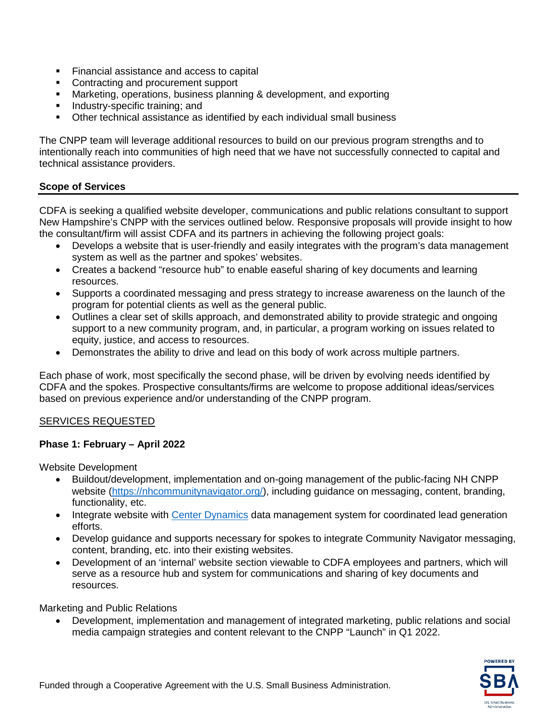- Financial assistance and access to capital
- Contracting and procurement support
- **Marketing, operations, business planning & development, and exporting**
- Industry-specific training; and
- Other technical assistance as identified by each individual small business

The CNPP team will leverage additional resources to build on our previous program strengths and to intentionally reach into communities of high need that we have not successfully connected to capital and technical assistance providers.

### **Scope of Services**

CDFA is seeking a qualified website developer, communications and public relations consultant to support New Hampshire's CNPP with the services outlined below. Responsive proposals will provide insight to how the consultant/firm will assist CDFA and its partners in achieving the following project goals:

- Develops a website that is user-friendly and easily integrates with the program's data management system as well as the partner and spokes' websites.
- Creates a backend "resource hub" to enable easeful sharing of key documents and learning resources.
- Supports a coordinated messaging and press strategy to increase awareness on the launch of the program for potential clients as well as the general public.
- Outlines a clear set of skills approach, and demonstrated ability to provide strategic and ongoing support to a new community program, and, in particular, a program working on issues related to equity, justice, and access to resources.
- Demonstrates the ability to drive and lead on this body of work across multiple partners.

Each phase of work, most specifically the second phase, will be driven by evolving needs identified by CDFA and the spokes. Prospective consultants/firms are welcome to propose additional ideas/services based on previous experience and/or understanding of the CNPP program.

#### SERVICES REQUESTED

#### **Phase 1: February – April 2022**

Website Development

- Buildout/development, implementation and on-going management of the public-facing NH CNPP website [\(https://nhcommunitynavigator.org/\)](https://nhcommunitynavigator.org/), including guidance on messaging, content, branding, functionality, etc.
- Integrate website with [Center Dynamics](https://www.centerdynamics.com/) data management system for coordinated lead generation efforts.
- Develop guidance and supports necessary for spokes to integrate Community Navigator messaging, content, branding, etc. into their existing websites.
- Development of an 'internal' website section viewable to CDFA employees and partners, which will serve as a resource hub and system for communications and sharing of key documents and resources.

Marketing and Public Relations

• Development, implementation and management of integrated marketing, public relations and social media campaign strategies and content relevant to the CNPP "Launch" in Q1 2022.